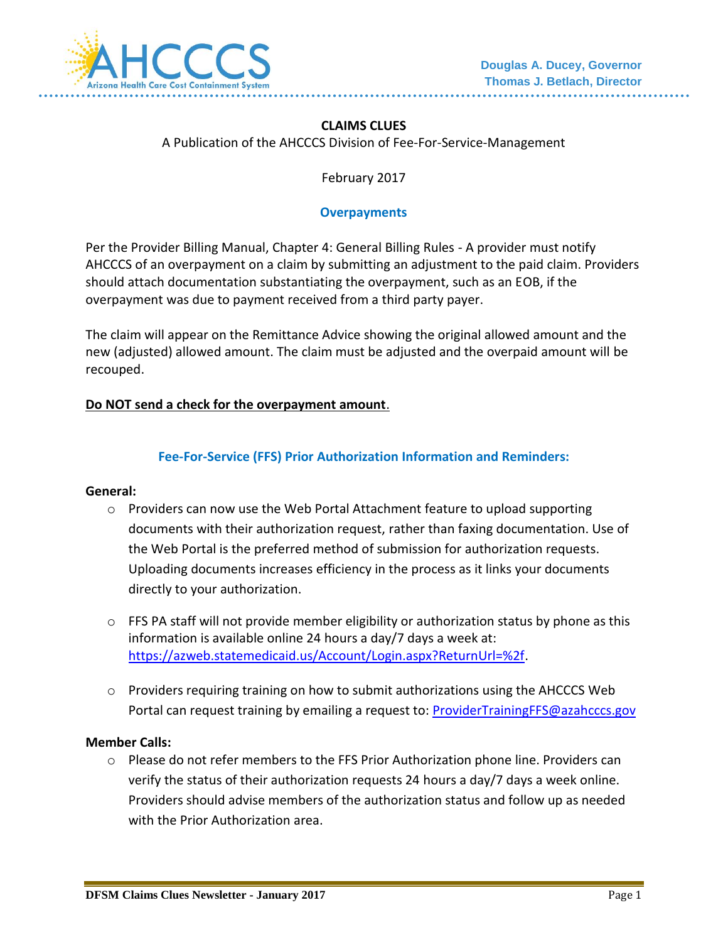

# **CLAIMS CLUES**

A Publication of the AHCCCS Division of Fee-For-Service-Management

February 2017

### **Overpayments**

Per the Provider Billing Manual, Chapter 4: General Billing Rules - A provider must notify AHCCCS of an overpayment on a claim by submitting an adjustment to the paid claim. Providers should attach documentation substantiating the overpayment, such as an EOB, if the overpayment was due to payment received from a third party payer.

The claim will appear on the Remittance Advice showing the original allowed amount and the new (adjusted) allowed amount. The claim must be adjusted and the overpaid amount will be recouped.

#### **Do NOT send a check for the overpayment amount**.

## **Fee-For-Service (FFS) Prior Authorization Information and Reminders:**

#### **General:**

- $\circ$  Providers can now use the Web Portal Attachment feature to upload supporting documents with their authorization request, rather than faxing documentation. Use of the Web Portal is the preferred method of submission for authorization requests. Uploading documents increases efficiency in the process as it links your documents directly to your authorization.
- o FFS PA staff will not provide member eligibility or authorization status by phone as this information is available online 24 hours a day/7 days a week at: [https://azweb.statemedicaid.us/Account/Login.aspx?ReturnUrl=%2f.](https://azweb.statemedicaid.us/Account/Login.aspx?ReturnUrl=%2f)
- $\circ$  Providers requiring training on how to submit authorizations using the AHCCCS Web Portal can request training by emailing a request to: [ProviderTrainingFFS@azahcccs.gov](mailto:ProviderTrainingFFS@azahcccs.gov)

#### **Member Calls:**

 $\circ$  Please do not refer members to the FFS Prior Authorization phone line. Providers can verify the status of their authorization requests 24 hours a day/7 days a week online. Providers should advise members of the authorization status and follow up as needed with the Prior Authorization area.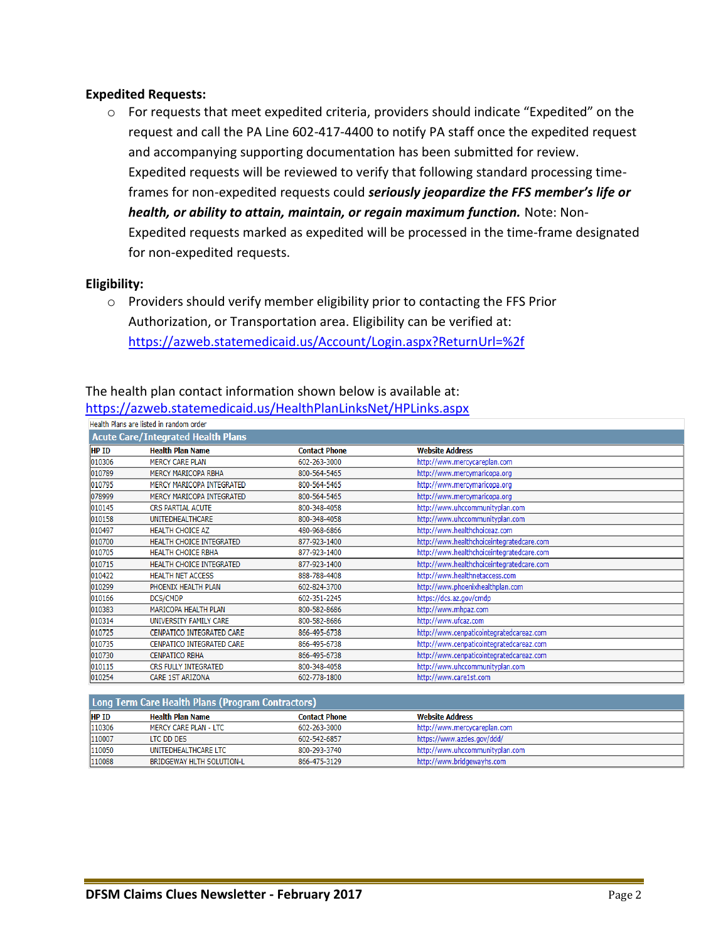## **Expedited Requests:**

 $\circ$  For requests that meet expedited criteria, providers should indicate "Expedited" on the request and call the PA Line 602-417-4400 to notify PA staff once the expedited request and accompanying supporting documentation has been submitted for review. Expedited requests will be reviewed to verify that following standard processing timeframes for non-expedited requests could *seriously jeopardize the FFS member's life or health, or ability to attain, maintain, or regain maximum function.* Note: Non-Expedited requests marked as expedited will be processed in the time-frame designated for non-expedited requests.

#### **Eligibility:**

o Providers should verify member eligibility prior to contacting the FFS Prior Authorization, or Transportation area. Eligibility can be verified at: <https://azweb.statemedicaid.us/Account/Login.aspx?ReturnUrl=%2f>

| https://azweb.statemedicaid.us/HealthPlanLinksNet/HPLinks.aspx |                                 |                      |                                           |  |  |  |  |
|----------------------------------------------------------------|---------------------------------|----------------------|-------------------------------------------|--|--|--|--|
| Health Plans are listed in random order                        |                                 |                      |                                           |  |  |  |  |
| <b>Acute Care/Integrated Health Plans</b>                      |                                 |                      |                                           |  |  |  |  |
| HP ID                                                          | <b>Health Plan Name</b>         | <b>Contact Phone</b> | <b>Website Address</b>                    |  |  |  |  |
| 010306                                                         | <b>MERCY CARE PLAN</b>          | 602-263-3000         | http://www.mercycareplan.com              |  |  |  |  |
| 010789                                                         | <b>MERCY MARICOPA RBHA</b>      | 800-564-5465         | http://www.mercymaricopa.org              |  |  |  |  |
| 010795                                                         | MERCY MARICOPA INTEGRATED       | 800-564-5465         | http://www.mercymaricopa.org              |  |  |  |  |
| 078999                                                         | MERCY MARICOPA INTEGRATED       | 800-564-5465         | http://www.mercymaricopa.org              |  |  |  |  |
| 010145                                                         | <b>CRS PARTIAL ACUTE</b>        | 800-348-4058         | http://www.uhccommunityplan.com           |  |  |  |  |
| 010158                                                         | <b>UNITEDHEALTHCARE</b>         | 800-348-4058         | http://www.uhccommunityplan.com           |  |  |  |  |
| 010497                                                         | <b>HEALTH CHOICE AZ</b>         | 480-968-6866         | http://www.healthchoiceaz.com             |  |  |  |  |
| 010700                                                         | <b>HEALTH CHOICE INTEGRATED</b> | 877-923-1400         | http://www.healthchoiceintegratedcare.com |  |  |  |  |
| 010705                                                         | <b>HEALTH CHOICE RBHA</b>       | 877-923-1400         | http://www.healthchoiceintegratedcare.com |  |  |  |  |
| 010715                                                         | <b>HEALTH CHOICE INTEGRATED</b> | 877-923-1400         | http://www.healthchoiceintegratedcare.com |  |  |  |  |
| 010422                                                         | <b>HEALTH NET ACCESS</b>        | 888-788-4408         | http://www.healthnetaccess.com            |  |  |  |  |
| 010299                                                         | PHOENIX HEALTH PLAN             | 602-824-3700         | http://www.phoenixhealthplan.com          |  |  |  |  |
| 010166                                                         | DCS/CMDP                        | 602-351-2245         | https://dcs.az.gov/cmdp                   |  |  |  |  |
| 010383                                                         | MARICOPA HEALTH PLAN            | 800-582-8686         | http://www.mhpaz.com                      |  |  |  |  |
| 010314                                                         | UNIVERSITY FAMILY CARE          | 800-582-8686         | http://www.ufcaz.com                      |  |  |  |  |
| 010725                                                         | CENPATICO INTEGRATED CARE       | 866-495-6738         | http://www.cenpaticointegratedcareaz.com  |  |  |  |  |
| 010735                                                         | CENPATICO INTEGRATED CARE       | 866-495-6738         | http://www.cenpaticointegratedcareaz.com  |  |  |  |  |
| 010730                                                         | <b>CENPATICO RBHA</b>           | 866-495-6738         | http://www.cenpaticointegratedcareaz.com  |  |  |  |  |
| 010115                                                         | CRS FULLY INTEGRATED            | 800-348-4058         | http://www.uhccommunityplan.com           |  |  |  |  |
| 010254                                                         | <b>CARE 1ST ARIZONA</b>         | 602-778-1800         | http://www.care1st.com                    |  |  |  |  |

The health plan contact information shown below is available at:

#### <https://azweb.statemedicaid.us/HealthPlanLinksNet/HPLinks.aspx>

| <u> Long Term Care Health Plans (Program Contractors)</u> |                                  |               |                                 |  |  |  |
|-----------------------------------------------------------|----------------------------------|---------------|---------------------------------|--|--|--|
| <b>HP ID</b>                                              | Health Plan Name                 | Contact Phone | <b>Website Address</b>          |  |  |  |
| 110306                                                    | MERCY CARE PLAN - LTC            | 602-263-3000  | http://www.mercycareplan.com    |  |  |  |
| 110007                                                    | LTC DD DES                       | 602-542-6857  | https://www.azdes.gov/ddd/      |  |  |  |
| 110050                                                    | UNITEDHEALTHCARE LTC             | 800-293-3740  | http://www.uhccommunityplan.com |  |  |  |
| 110088                                                    | <b>BRIDGEWAY HLTH SOLUTION-L</b> | 866-475-3129  | http://www.bridgewayhs.com      |  |  |  |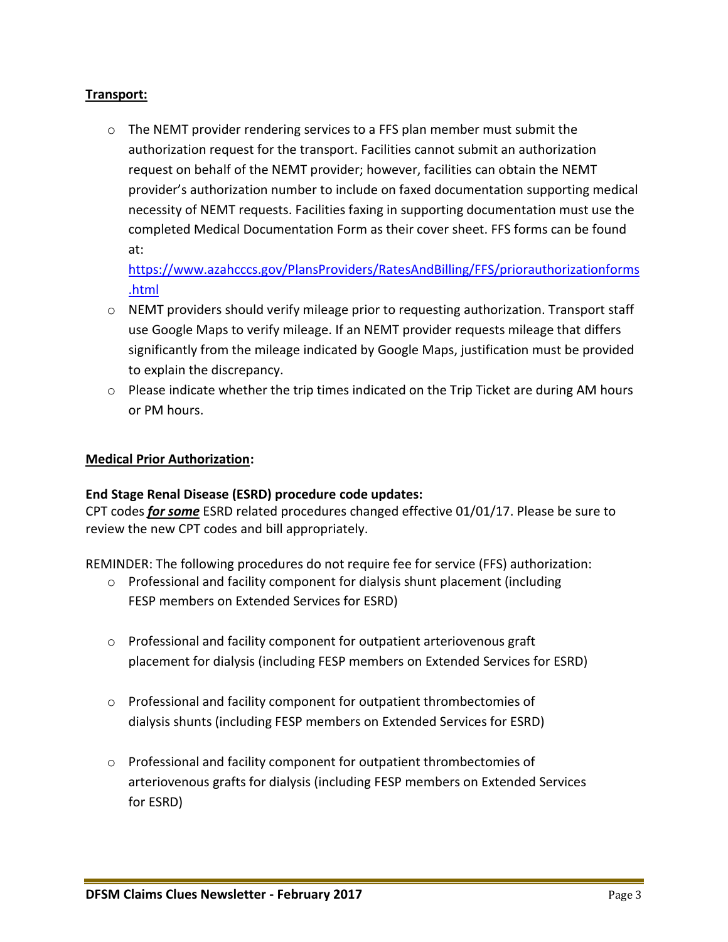# **Transport:**

 $\circ$  The NEMT provider rendering services to a FFS plan member must submit the authorization request for the transport. Facilities cannot submit an authorization request on behalf of the NEMT provider; however, facilities can obtain the NEMT provider's authorization number to include on faxed documentation supporting medical necessity of NEMT requests. Facilities faxing in supporting documentation must use the completed Medical Documentation Form as their cover sheet. FFS forms can be found at:

[https://www.azahcccs.gov/PlansProviders/RatesAndBilling/FFS/priorauthorizationforms](https://www.azahcccs.gov/PlansProviders/RatesAndBilling/FFS/priorauthorizationforms.html) [.html](https://www.azahcccs.gov/PlansProviders/RatesAndBilling/FFS/priorauthorizationforms.html) 

- $\circ$  NEMT providers should verify mileage prior to requesting authorization. Transport staff use Google Maps to verify mileage. If an NEMT provider requests mileage that differs significantly from the mileage indicated by Google Maps, justification must be provided to explain the discrepancy.
- $\circ$  Please indicate whether the trip times indicated on the Trip Ticket are during AM hours or PM hours.

## **Medical Prior Authorization:**

## **End Stage Renal Disease (ESRD) procedure code updates:**

CPT codes *for some* ESRD related procedures changed effective 01/01/17. Please be sure to review the new CPT codes and bill appropriately.

REMINDER: The following procedures do not require fee for service (FFS) authorization:

- o Professional and facility component for dialysis shunt placement (including FESP members on Extended Services for ESRD)
- o Professional and facility component for outpatient arteriovenous graft placement for dialysis (including FESP members on Extended Services for ESRD)
- $\circ$  Professional and facility component for outpatient thrombectomies of dialysis shunts (including FESP members on Extended Services for ESRD)
- o Professional and facility component for outpatient thrombectomies of arteriovenous grafts for dialysis (including FESP members on Extended Services for ESRD)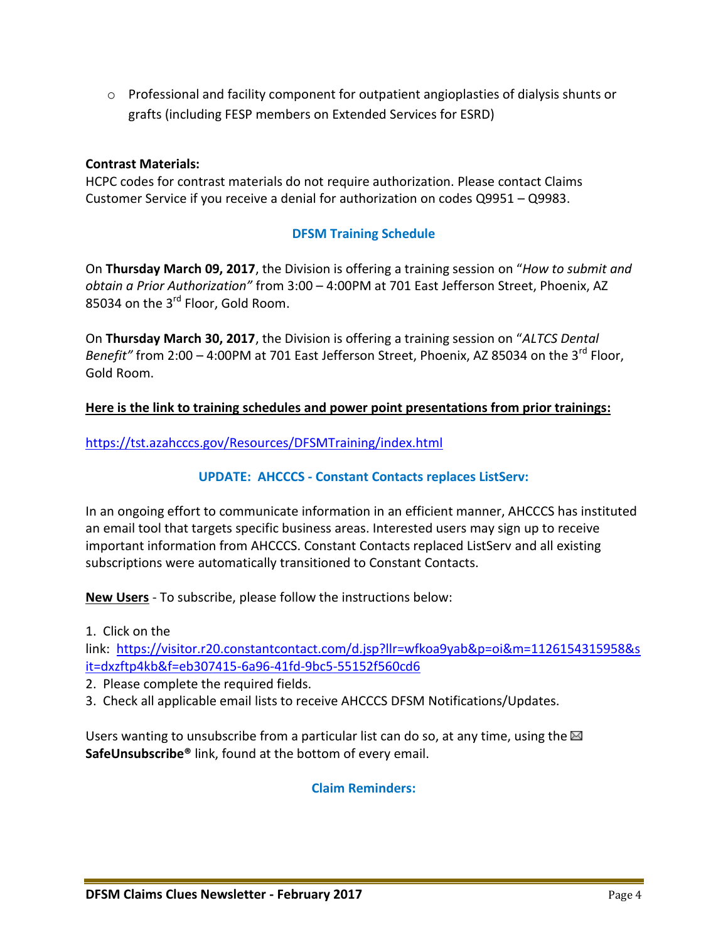$\circ$  Professional and facility component for outpatient angioplasties of dialysis shunts or grafts (including FESP members on Extended Services for ESRD)

## **Contrast Materials:**

HCPC codes for contrast materials do not require authorization. Please contact Claims Customer Service if you receive a denial for authorization on codes Q9951 – Q9983.

# **DFSM Training Schedule**

On **Thursday March 09, 2017**, the Division is offering a training session on "*How to submit and obtain a Prior Authorization"* from 3:00 – 4:00PM at 701 East Jefferson Street, Phoenix, AZ 85034 on the 3<sup>rd</sup> Floor, Gold Room.

On **Thursday March 30, 2017**, the Division is offering a training session on "*ALTCS Dental Benefit"* from 2:00 – 4:00PM at 701 East Jefferson Street, Phoenix, AZ 85034 on the 3<sup>rd</sup> Floor, Gold Room.

## **Here is the link to training schedules and power point presentations from prior trainings:**

<https://tst.azahcccs.gov/Resources/DFSMTraining/index.html>

# **UPDATE: AHCCCS - Constant Contacts replaces ListServ:**

In an ongoing effort to communicate information in an efficient manner, AHCCCS has instituted an email tool that targets specific business areas. Interested users may sign up to receive important information from AHCCCS. Constant Contacts replaced ListServ and all existing subscriptions were automatically transitioned to Constant Contacts.

**New Users** - To subscribe, please follow the instructions below:

1. Click on the

link: [https://visitor.r20.constantcontact.com/d.jsp?llr=wfkoa9yab&p=oi&m=1126154315958&s](https://visitor.r20.constantcontact.com/d.jsp?llr=wfkoa9yab&p=oi&m=1126154315958&sit=dxzftp4kb&f=eb307415-6a96-41fd-9bc5-55152f560cd6) [it=dxzftp4kb&f=eb307415-6a96-41fd-9bc5-55152f560cd6](https://visitor.r20.constantcontact.com/d.jsp?llr=wfkoa9yab&p=oi&m=1126154315958&sit=dxzftp4kb&f=eb307415-6a96-41fd-9bc5-55152f560cd6)

2. Please complete the required fields.

3. Check all applicable email lists to receive AHCCCS DFSM Notifications/Updates.

Users wanting to unsubscribe from a particular list can do so, at any time, using the  $\boxtimes$ **SafeUnsubscribe®** link, found at the bottom of every email.

## **Claim Reminders:**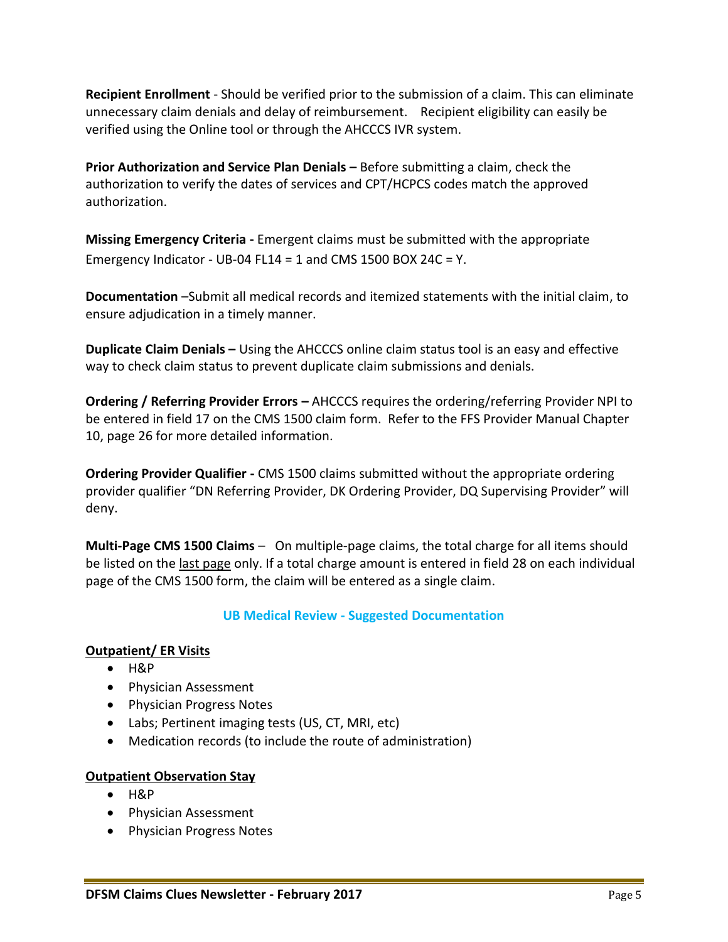**Recipient Enrollment** - Should be verified prior to the submission of a claim. This can eliminate unnecessary claim denials and delay of reimbursement. Recipient eligibility can easily be verified using the Online tool or through the AHCCCS IVR system.

**Prior Authorization and Service Plan Denials –** Before submitting a claim, check the authorization to verify the dates of services and CPT/HCPCS codes match the approved authorization.

**Missing Emergency Criteria -** Emergent claims must be submitted with the appropriate Emergency Indicator - UB-04 FL14 = 1 and CMS 1500 BOX 24C = Y.

**Documentation** –Submit all medical records and itemized statements with the initial claim, to ensure adjudication in a timely manner.

**Duplicate Claim Denials –** Using the AHCCCS online claim status tool is an easy and effective way to check claim status to prevent duplicate claim submissions and denials.

**Ordering / Referring Provider Errors –** AHCCCS requires the ordering/referring Provider NPI to be entered in field 17 on the CMS 1500 claim form. Refer to the FFS Provider Manual Chapter 10, page 26 for more detailed information.

**Ordering Provider Qualifier -** CMS 1500 claims submitted without the appropriate ordering provider qualifier "DN Referring Provider, DK Ordering Provider, DQ Supervising Provider" will deny.

**Multi-Page CMS 1500 Claims** – On multiple-page claims, the total charge for all items should be listed on the last page only. If a total charge amount is entered in field 28 on each individual page of the CMS 1500 form, the claim will be entered as a single claim.

# **UB Medical Review - Suggested Documentation**

# **Outpatient/ ER Visits**

- **H&P**
- Physician Assessment
- Physician Progress Notes
- Labs; Pertinent imaging tests (US, CT, MRI, etc)
- Medication records (to include the route of administration)

## **Outpatient Observation Stay**

- $-H\&P$
- Physician Assessment
- Physician Progress Notes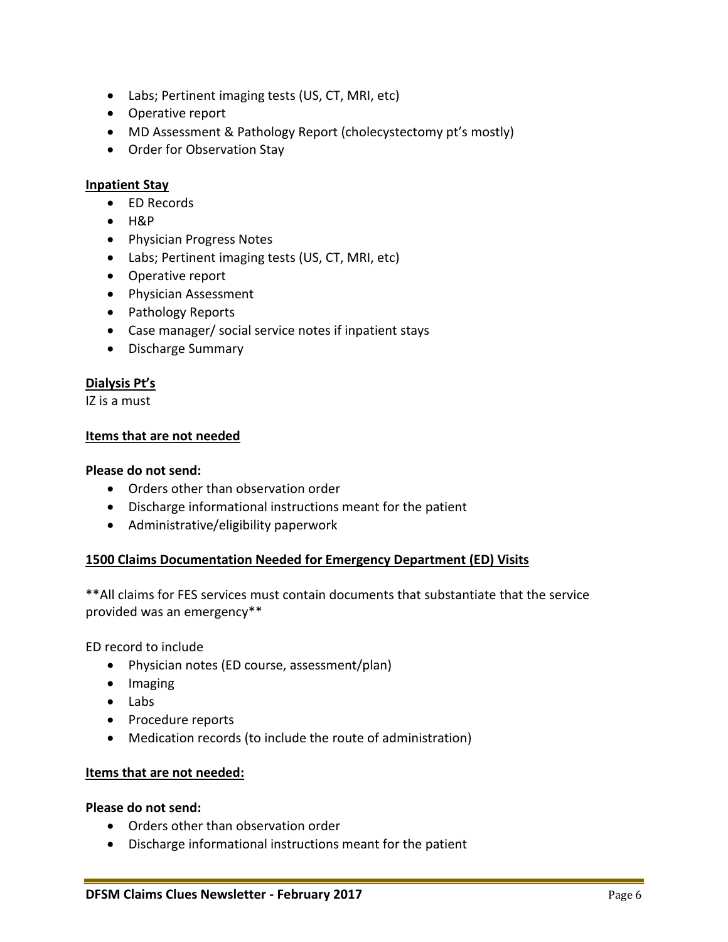- Labs; Pertinent imaging tests (US, CT, MRI, etc)
- Operative report
- MD Assessment & Pathology Report (cholecystectomy pt's mostly)
- Order for Observation Stay

## **Inpatient Stay**

- ED Records
- $-HRP$
- Physician Progress Notes
- Labs; Pertinent imaging tests (US, CT, MRI, etc)
- Operative report
- Physician Assessment
- Pathology Reports
- Case manager/ social service notes if inpatient stays
- Discharge Summary

## **Dialysis Pt's**

IZ is a must

#### **Items that are not needed**

#### **Please do not send:**

- Orders other than observation order
- Discharge informational instructions meant for the patient
- Administrative/eligibility paperwork

## **1500 Claims Documentation Needed for Emergency Department (ED) Visits**

\*\*All claims for FES services must contain documents that substantiate that the service provided was an emergency\*\*

ED record to include

- Physician notes (ED course, assessment/plan)
- Imaging
- Labs
- Procedure reports
- Medication records (to include the route of administration)

## **Items that are not needed:**

#### **Please do not send:**

- Orders other than observation order
- Discharge informational instructions meant for the patient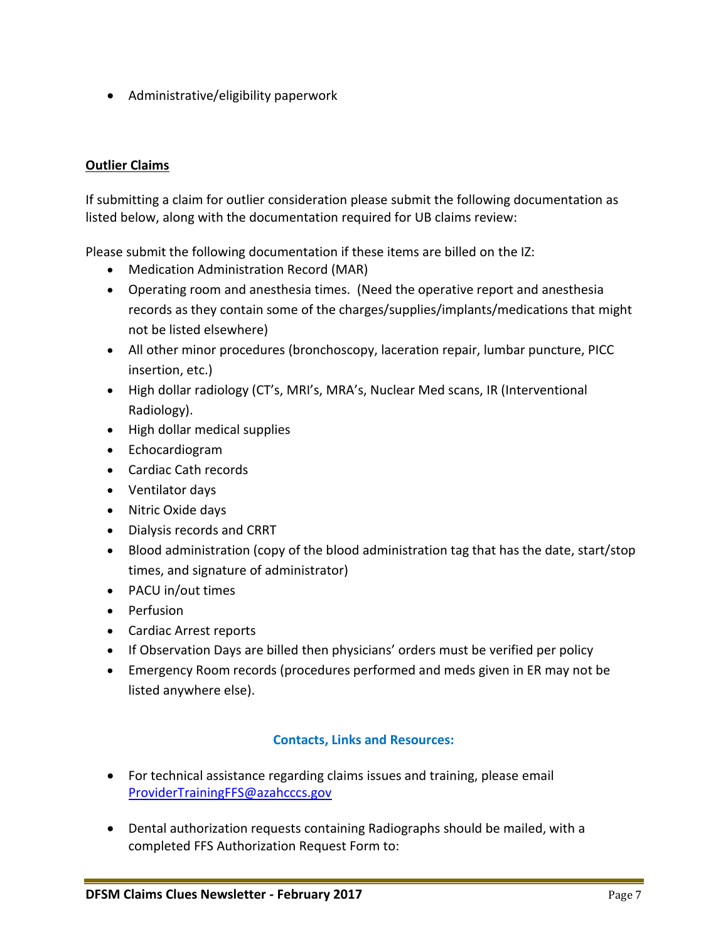Administrative/eligibility paperwork

# **Outlier Claims**

If submitting a claim for outlier consideration please submit the following documentation as listed below, along with the documentation required for UB claims review:

Please submit the following documentation if these items are billed on the IZ:

- Medication Administration Record (MAR)
- Operating room and anesthesia times. (Need the operative report and anesthesia records as they contain some of the charges/supplies/implants/medications that might not be listed elsewhere)
- All other minor procedures (bronchoscopy, laceration repair, lumbar puncture, PICC insertion, etc.)
- High dollar radiology (CT's, MRI's, MRA's, Nuclear Med scans, IR (Interventional Radiology).
- High dollar medical supplies
- Echocardiogram
- Cardiac Cath records
- Ventilator days
- Nitric Oxide days
- Dialysis records and CRRT
- Blood administration (copy of the blood administration tag that has the date, start/stop times, and signature of administrator)
- PACU in/out times
- Perfusion
- Cardiac Arrest reports
- If Observation Days are billed then physicians' orders must be verified per policy
- Emergency Room records (procedures performed and meds given in ER may not be listed anywhere else).

# **Contacts, Links and Resources:**

- For technical assistance regarding claims issues and training, please email [ProviderTrainingFFS@azahcccs.gov](mailto:ProviderTrainingFFS@azahcccs.gov)
- Dental authorization requests containing Radiographs should be mailed, with a completed FFS Authorization Request Form to: